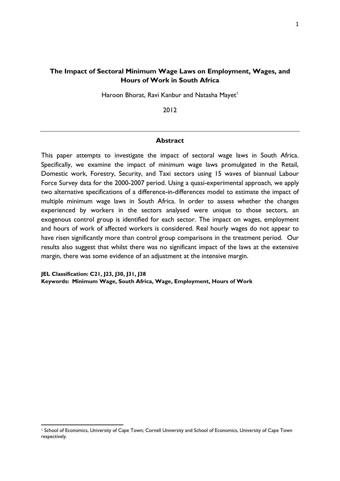# **The Impact of Sectoral Minimum Wage Laws on Employment, Wages, and Hours of Work in South Africa**

Haroon Bhorat, Ravi Kanbur and Natasha Mayet<sup>1</sup>

2012

## **Abstract**

This paper attempts to investigate the impact of sectoral wage laws in South Africa. Specifically, we examine the impact of minimum wage laws promulgated in the Retail, Domestic work, Forestry, Security, and Taxi sectors using 15 waves of biannual Labour Force Survey data for the 2000-2007 period. Using a quasi-experimental approach, we apply two alternative specifications of a difference-in-differences model to estimate the impact of multiple minimum wage laws in South Africa. In order to assess whether the changes experienced by workers in the sectors analysed were unique to those sectors, an exogenous control group is identified for each sector. The impact on wages, employment and hours of work of affected workers is considered. Real hourly wages do not appear to have risen significantly more than control group comparisons in the treatment period. Our results also suggest that whilst there was no significant impact of the laws at the extensive margin, there was some evidence of an adjustment at the intensive margin.

**JEL Classification: C21, J23, J30, J31, J38 Keywords: Minimum Wage, South Africa, Wage, Employment, Hours of Work** 

<sup>1</sup> School of Economics, University of Cape Town; Cornell University and School of Economics, University of Cape Town respectively.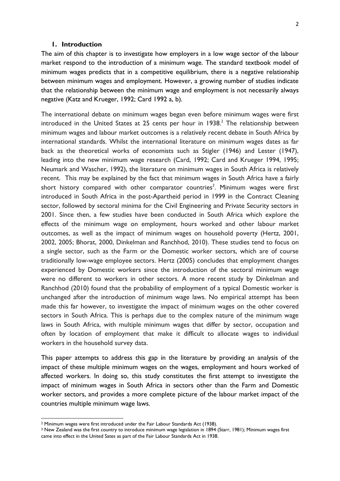### **1. Introduction**

The aim of this chapter is to investigate how employers in a low wage sector of the labour market respond to the introduction of a minimum wage. The standard textbook model of minimum wages predicts that in a competitive equilibrium, there is a negative relationship between minimum wages and employment. However, a growing number of studies indicate that the relationship between the minimum wage and employment is not necessarily always negative (Katz and Krueger, 1992; Card 1992 a, b).

The international debate on minimum wages began even before minimum wages were first introduced in the United States at 25 cents per hour in  $1938<sup>2</sup>$  The relationship between minimum wages and labour market outcomes is a relatively recent debate in South Africa by international standards. Whilst the international literature on minimum wages dates as far back as the theoretical works of economists such as Stigler (1946) and Lester (1947), leading into the new minimum wage research (Card, 1992; Card and Krueger 1994, 1995; Neumark and Wascher, 1992), the literature on minimum wages in South Africa is relatively recent. This may be explained by the fact that minimum wages in South Africa have a fairly short history compared with other comparator countries<sup>3</sup>. Minimum wages were first introduced in South Africa in the post-Apartheid period in 1999 in the Contract Cleaning sector, followed by sectoral minima for the Civil Engineering and Private Security sectors in 2001. Since then, a few studies have been conducted in South Africa which explore the effects of the minimum wage on employment, hours worked and other labour market outcomes, as well as the impact of minimum wages on household poverty (Hertz, 2001, 2002, 2005; Bhorat, 2000, Dinkelman and Ranchhod, 2010). These studies tend to focus on a single sector, such as the Farm or the Domestic worker sectors, which are of course traditionally low-wage employee sectors. Hertz (2005) concludes that employment changes experienced by Domestic workers since the introduction of the sectoral minimum wage were no different to workers in other sectors. A more recent study by Dinkelman and Ranchhod (2010) found that the probability of employment of a typical Domestic worker is unchanged after the introduction of minimum wage laws. No empirical attempt has been made this far however, to investigate the impact of minimum wages on the other covered sectors in South Africa. This is perhaps due to the complex nature of the minimum wage laws in South Africa, with multiple minimum wages that differ by sector, occupation and often by location of employment that make it difficult to allocate wages to individual workers in the household survey data.

This paper attempts to address this gap in the literature by providing an analysis of the impact of these multiple minimum wages on the wages, employment and hours worked of affected workers. In doing so, this study constitutes the first attempt to investigate the impact of minimum wages in South Africa in sectors other than the Farm and Domestic worker sectors, and provides a more complete picture of the labour market impact of the countries multiple minimum wage laws.

<sup>2</sup> Minimum wages were first introduced under the Fair Labour Standards Act (1938).

<sup>&</sup>lt;sup>3</sup> New Zealand was the first country to introduce minimum wage legislation in 1894 (Starr, 1981); Minimum wages first came into effect in the United Sates as part of the Fair Labour Standards Act in 1938.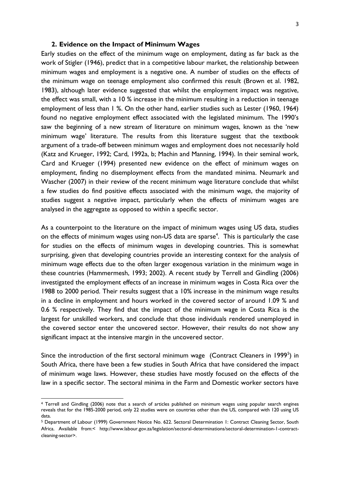## **2. Evidence on the Impact of Minimum Wages**

Early studies on the effect of the minimum wage on employment, dating as far back as the work of Stigler (1946), predict that in a competitive labour market, the relationship between minimum wages and employment is a negative one. A number of studies on the effects of the minimum wage on teenage employment also confirmed this result (Brown et al. 1982, 1983), although later evidence suggested that whilst the employment impact was negative, the effect was small, with a 10 % increase in the minimum resulting in a reduction in teenage employment of less than 1 %. On the other hand, earlier studies such as Lester (1960, 1964) found no negative employment effect associated with the legislated minimum. The 1990's saw the beginning of a new stream of literature on minimum wages, known as the 'new minimum wage' literature. The results from this literature suggest that the textbook argument of a trade-off between minimum wages and employment does not necessarily hold (Katz and Krueger, 1992; Card, 1992a, b; Machin and Manning, 1994). In their seminal work, Card and Krueger (1994) presented new evidence on the effect of minimum wages on employment, finding no disemployment effects from the mandated minima. Neumark and Wascher (2007) in their review of the recent minimum wage literature conclude that whilst a few studies do find positive effects associated with the minimum wage, the majority of studies suggest a negative impact, particularly when the effects of minimum wages are analysed in the aggregate as opposed to within a specific sector.

As a counterpoint to the literature on the impact of minimum wages using US data, studies on the effects of minimum wages using non-US data are sparse<sup>4</sup>. This is particularly the case for studies on the effects of minimum wages in developing countries. This is somewhat surprising, given that developing countries provide an interesting context for the analysis of minimum wage effects due to the often larger exogenous variation in the minimum wage in these countries (Hammermesh, 1993; 2002). A recent study by Terrell and Gindling (2006) investigated the employment effects of an increase in minimum wages in Costa Rica over the 1988 to 2000 period. Their results suggest that a 10% increase in the minimum wage results in a decline in employment and hours worked in the covered sector of around 1.09 % and 0.6 % respectively. They find that the impact of the minimum wage in Costa Rica is the largest for unskilled workers, and conclude that those individuals rendered unemployed in the covered sector enter the uncovered sector. However, their results do not show any significant impact at the intensive margin in the uncovered sector.

Since the introduction of the first sectoral minimum wage (Contract Cleaners in 1999<sup>5</sup>) in South Africa, there have been a few studies in South Africa that have considered the impact of minimum wage laws. However, these studies have mostly focused on the effects of the law in a specific sector. The sectoral minima in the Farm and Domestic worker sectors have

<sup>4</sup> Terrell and Gindling (2006) note that a search of articles published on minimum wages using popular search engines reveals that for the 1985-2000 period, only 22 studies were on countries other than the US, compared with 120 using US data.

<sup>5</sup> Department of Labour (1999) Government Notice No. 622. Sectoral Determination 1: Contract Cleaning Sector, South Africa. Available from:< http://www.labour.gov.za/legislation/sectoral-determinations/sectoral-determination-1-contractcleaning-sector>.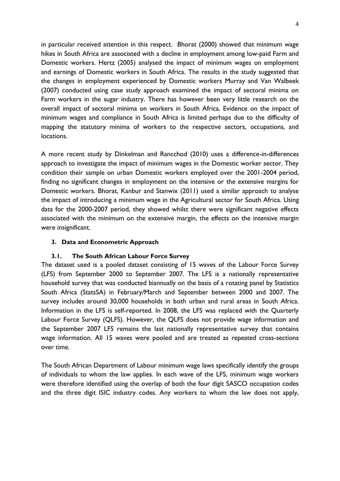in particular received attention in this respect. Bhorat (2000) showed that minimum wage hikes in South Africa are associated with a decline in employment among low-paid Farm and Domestic workers. Hertz (2005) analysed the impact of minimum wages on employment and earnings of Domestic workers in South Africa. The results in the study suggested that the changes in employment experienced by Domestic workers Murray and Van Walbeek (2007) conducted using case study approach examined the impact of sectoral minima on Farm workers in the sugar industry. There has however been very little research on the overall impact of sectoral minima on workers in South Africa. Evidence on the impact of minimum wages and compliance in South Africa is limited perhaps due to the difficulty of mapping the statutory minima of workers to the respective sectors, occupations, and locations.

A more recent study by Dinkelman and Rancchod (2010) uses a difference-in-differences approach to investigate the impact of minimum wages in the Domestic worker sector. They condition their sample on urban Domestic workers employed over the 2001-2004 period, finding no significant changes in employment on the intensive or the extensive margins for Domestic workers. Bhorat, Kanbur and Stanwix (2011) used a similar approach to analyse the impact of introducing a minimum wage in the Agricultural sector for South Africa. Using data for the 2000-2007 period, they showed whilst there were significant negative effects associated with the minimum on the extensive margin, the effects on the intensive margin were insignificant.

# **3. Data and Econometric Approach**

### **3.1. The South African Labour Force Survey**

The dataset used is a pooled dataset consisting of 15 waves of the Labour Force Survey (LFS) from September 2000 to September 2007. The LFS is a nationally representative household survey that was conducted biannually on the basis of a rotating panel by Statistics South Africa (StatsSA) in February/March and September between 2000 and 2007. The survey includes around 30,000 households in both urban and rural areas in South Africa. Information in the LFS is self-reported. In 2008, the LFS was replaced with the Quarterly Labour Force Survey (QLFS). However, the QLFS does not provide wage information and the September 2007 LFS remains the last nationally representative survey that contains wage information. All 15 waves were pooled and are treated as repeated cross-sections over time.

The South African Department of Labour minimum wage laws specifically identify the groups of individuals to whom the law applies. In each wave of the LFS, minimum wage workers were therefore identified using the overlap of both the four digit SASCO occupation codes and the three digit ISIC industry codes. Any workers to whom the law does not apply,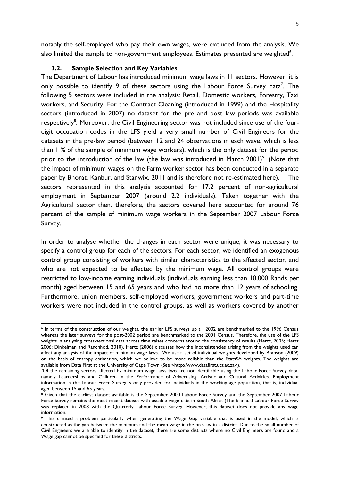notably the self-employed who pay their own wages, were excluded from the analysis. We also limited the sample to non-government employees. Estimates presented are weighted $6$ .

## **3.2. Sample Selection and Key Variables**

The Department of Labour has introduced minimum wage laws in 11 sectors. However, it is only possible to identify 9 of these sectors using the Labour Force Survey data<sup>7</sup>. The following 5 sectors were included in the analysis: Retail, Domestic workers, Forestry, Taxi workers, and Security. For the Contract Cleaning (introduced in 1999) and the Hospitality sectors (introduced in 2007) no dataset for the pre and post law periods was available respectively<sup>8</sup>. Moreover, the Civil Engineering sector was not included since use of the fourdigit occupation codes in the LFS yield a very small number of Civil Engineers for the datasets in the pre-law period (between 12 and 24 observations in each wave, which is less than 1 % of the sample of minimum wage workers), which is the only dataset for the period prior to the introduction of the law (the law was introduced in March 2001)<sup>9</sup>. (Note that the impact of minimum wages on the Farm worker sector has been conducted in a separate paper by Bhorat, Kanbur, and Stanwix, 2011 and is therefore not re-estimated here). The sectors represented in this analysis accounted for 17.2 percent of non-agricultural employment in September 2007 (around 2.2 individuals). Taken together with the Agricultural sector then, therefore, the sectors covered here accounted for around 76 percent of the sample of minimum wage workers in the September 2007 Labour Force Survey.

In order to analyse whether the changes in each sector were unique, it was necessary to specify a control group for each of the sectors. For each sector, we identified an exogenous control group consisting of workers with similar characteristics to the affected sector, and who are not expected to be affected by the minimum wage. All control groups were restricted to low-income earning individuals (individuals earning less than 10,000 Rands per month) aged between 15 and 65 years and who had no more than 12 years of schooling. Furthermore, union members, self-employed workers, government workers and part-time workers were not included in the control groups, as well as workers covered by another

<sup>1</sup> <sup>6</sup> In terms of the construction of our weights, the earlier LFS surveys up till 2002 are benchmarked to the 1996 Census whereas the later surveys for the post-2002 period are benchmarked to the 2001 Census. Therefore, the use of the LFS weights in analysing cross-sectional data across time raises concerns around the consistency of results (Hertz, 2005; Hertz 2006; Dinkelman and Ranchhod, 2010). Hertz (2006) discusses how the inconsistencies arising from the weights used can affect any analysis of the impact of minimum wage laws. We use a set of individual weights developed by Branson (2009) on the basis of entropy estimation, which we believe to be more reliable than the StatsSA weights. The weights are available from Data First at the University of Cape Town (See <http://www.datafirst.uct.ac.za>).

<sup>7</sup>Of the remaining sectors affected by minimum wage laws two are not identifiable using the Labour Force Survey data, namely Learnerships and Children in the Performance of Advertising, Artistic and Cultural Activities. Employment information in the Labour Force Survey is only provided for individuals in the working age population, that is, individual aged between 15 and 65 years.

<sup>&</sup>lt;sup>8</sup> Given that the earliest dataset available is the September 2000 Labour Force Survey and the September 2007 Labour Force Survey remains the most recent dataset with useable wage data in South Africa (The biannual Labour Force Survey was replaced in 2008 with the Quarterly Labour Force Survey. However, this dataset does not provide any wage information.

<sup>9</sup> This created a problem particularly when generating the Wage Gap variable that is used in the model, which is constructed as the gap between the minimum and the mean wage in the pre-law in a district. Due to the small number of Civil Engineers we are able to identify in the dataset, there are some districts where no Civil Engineers are found and a Wage gap cannot be specified for these districts.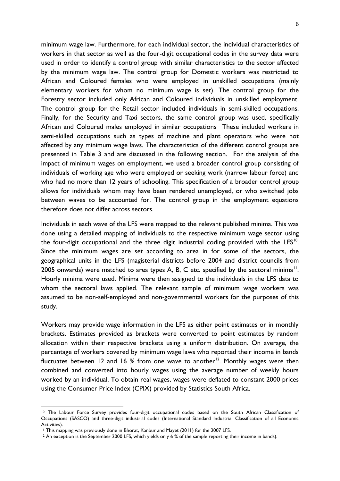minimum wage law. Furthermore, for each individual sector, the individual characteristics of workers in that sector as well as the four-digit occupational codes in the survey data were used in order to identify a control group with similar characteristics to the sector affected by the minimum wage law. The control group for Domestic workers was restricted to African and Coloured females who were employed in unskilled occupations (mainly elementary workers for whom no minimum wage is set). The control group for the Forestry sector included only African and Coloured individuals in unskilled employment. The control group for the Retail sector included individuals in semi-skilled occupations. Finally, for the Security and Taxi sectors, the same control group was used, specifically African and Coloured males employed in similar occupations These included workers in semi-skilled occupations such as types of machine and plant operators who were not affected by any minimum wage laws. The characteristics of the different control groups are presented in [Table 3](#page-17-0) and are discussed in the following section. For the analysis of the impact of minimum wages on employment, we used a broader control group consisting of individuals of working age who were employed or seeking work (narrow labour force) and who had no more than 12 years of schooling. This specification of a broader control group allows for individuals whom may have been rendered unemployed, or who switched jobs between waves to be accounted for. The control group in the employment equations therefore does not differ across sectors.

Individuals in each wave of the LFS were mapped to the relevant published minima. This was done using a detailed mapping of individuals to the respective minimum wage sector using the four-digit occupational and the three digit industrial coding provided with the LFS $^{10}$ . Since the minimum wages are set according to area in for some of the sectors, the geographical units in the LFS (magisterial districts before 2004 and district councils from 2005 onwards) were matched to area types A, B, C etc. specified by the sectoral minima<sup>11</sup>. Hourly minima were used. Minima were then assigned to the individuals in the LFS data to whom the sectoral laws applied. The relevant sample of minimum wage workers was assumed to be non-self-employed and non-governmental workers for the purposes of this study.

Workers may provide wage information in the LFS as either point estimates or in monthly brackets. Estimates provided as brackets were converted to point estimates by random allocation within their respective brackets using a uniform distribution. On average, the percentage of workers covered by minimum wage laws who reported their income in bands fluctuates between 12 and 16 % from one wave to another<sup>12</sup>. Monthly wages were then combined and converted into hourly wages using the average number of weekly hours worked by an individual. To obtain real wages, wages were deflated to constant 2000 prices using the Consumer Price Index (CPIX) provided by Statistics South Africa.

1

<sup>10</sup> The Labour Force Survey provides four-digit occupational codes based on the South African Classification of Occupations (SASCO) and three-digit industrial codes (International Standard Industrial Classification of all Economic Activities).

<sup>11</sup> This mapping was previously done in Bhorat, Kanbur and Mayet (2011) for the 2007 LFS.

<sup>&</sup>lt;sup>12</sup> An exception is the September 2000 LFS, which yields only 6 % of the sample reporting their income in bands).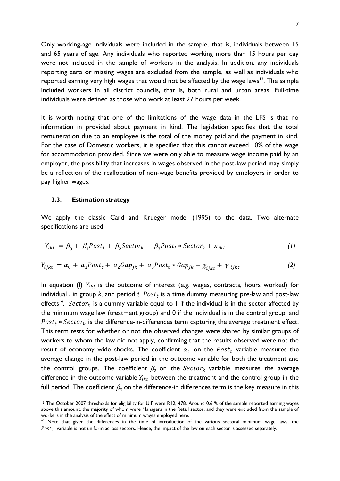Only working-age individuals were included in the sample, that is, individuals between 15 and 65 years of age. Any individuals who reported working more than 15 hours per day were not included in the sample of workers in the analysis. In addition, any individuals reporting zero or missing wages are excluded from the sample, as well as individuals who reported earning very high wages that would not be affected by the wage laws<sup>13</sup>. The sample included workers in all district councils, that is, both rural and urban areas. Full-time individuals were defined as those who work at least 27 hours per week.

It is worth noting that one of the limitations of the wage data in the LFS is that no information in provided about payment in kind. The legislation specifies that the total remuneration due to an employee is the total of the money paid and the payment in kind. For the case of Domestic workers, it is specified that this cannot exceed 10% of the wage for accommodation provided. Since we were only able to measure wage income paid by an employer, the possibility that increases in wages observed in the post-law period may simply be a reflection of the reallocation of non-wage benefits provided by employers in order to pay higher wages.

#### **3.3. Estimation strategy**

1

We apply the classic Card and Krueger model (1995) to the data. Two alternate specifications are used:

$$
Y_{ikt} = \beta_0 + \beta_1 Post_t + \beta_2 Sector_k + \beta_3 Post_t * Sector_k + \varepsilon_{ikt}
$$
 (1)

$$
Y_{i\,jkt} = \alpha_0 + a_1 \text{Post}_t + a_2 \text{Gap}_{jk} + a_3 \text{Post}_t * \text{Gap}_{jk} + \chi_{i\,jkt} + \gamma_{i\,jkt} \tag{2}
$$

In equation (I)  $Y_{ikt}$  is the outcome of interest (e.g. wages, contracts, hours worked) for individual  $i$  in group  $k$ , and period  $t$ .  $Post<sub>t</sub>$  is a time dummy measuring pre-law and post-law effects<sup>14</sup>. Sector<sub>k</sub> is a dummy variable equal to 1 if the individual is in the sector affected by the minimum wage law (treatment group) and 0 if the individual is in the control group, and  $Post_t * Sector_k$  is the difference-in-differences term capturing the average treatment effect. This term tests for whether or not the observed changes were shared by similar groups of workers to whom the law did not apply, confirming that the results observed were not the result of economy wide shocks. The coefficient  $\alpha_1$  on the Post<sub>t</sub> variable measures the average change in the post-law period in the outcome variable for both the treatment and the control groups. The coefficient  $\beta_2$  on the Sector<sub>k</sub> variable measures the average difference in the outcome variable  $Y_{ikt}$  between the treatment and the control group in the full period. The coefficient  $\beta_3$  on the difference-in differences term is the key measure in this

<sup>&</sup>lt;sup>13</sup> The October 2007 thresholds for eligibility for UIF were R12, 478. Around 0.6 % of the sample reported earning wages above this amount, the majority of whom were Managers in the Retail sector, and they were excluded from the sample of workers in the analysis of the effect of minimum wages employed here.

 $14$  Note that given the differences in the time of introduction of the various sectoral minimum wage laws, the  $Post<sub>t</sub>$  variable is not uniform across sectors. Hence, the impact of the law on each sector is assessed separately.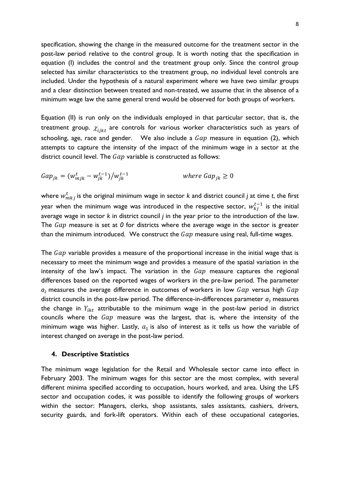specification, showing the change in the measured outcome for the treatment sector in the post-law period relative to the control group. It is worth noting that the specification in equation (I) includes the control and the treatment group only. Since the control group selected has similar characteristics to the treatment group, no individual level controls are included. Under the hypothesis of a natural experiment where we have two similar groups and a clear distinction between treated and non-treated, we assume that in the absence of a minimum wage law the same general trend would be observed for both groups of workers.

Equation (II) is run only on the individuals employed in that particular sector, that is, the treatment group.  $\chi_{i\bar{i}k\bar{t}}$  are controls for various worker characteristics such as years of schooling, age, race and gender. We also include a  $Gap$  measure in equation (2), which attempts to capture the intensity of the impact of the minimum wage in a sector at the district council level. The  $Gap$  variable is constructed as follows:

$$
Gap_{jk} = (w_{mjk}^t - w_{jk}^{t-1})/w_{jk}^{t-1}
$$
 where  $Gap_{jk} \ge 0$ 

where  $w_{mkj}^t$  is the original minimum wage in sector  $k$  and district council  $j$  at time  $t$ , the first year when the minimum wage was introduced in the respective sector,  $w_{ki}^{t-1}$  is the initial average wage in sector *k* in district council *j* in the year prior to the introduction of the law. The  $Gap$  measure is set at  $0$  for districts where the average wage in the sector is greater than the minimum introduced. We construct the  $Gap$  measure using real, full-time wages.

The  $Gap$  variable provides a measure of the proportional increase in the initial wage that is necessary to meet the minimum wage and provides a measure of the spatial variation in the intensity of the law's impact. The variation in the  $Gap$  measure captures the regional differences based on the reported wages of workers in the pre-law period. The parameter  $a_2$  measures the average difference in outcomes of workers in low  $Gap$  versus high  $Gap$ district councils in the post-law period. The difference-in-differences parameter  $a_3$  measures the change in  $Y_{ikt}$  attributable to the minimum wage in the post-law period in district councils where the  $Gap$  measure was the largest, that is, where the intensity of the minimum wage was higher. Lastly,  $a_1$  is also of interest as it tells us how the variable of interest changed on average in the post-law period.

## **4. Descriptive Statistics**

The minimum wage legislation for the Retail and Wholesale sector came into effect in February 2003. The minimum wages for this sector are the most complex, with several different minima specified according to occupation, hours worked, and area. Using the LFS sector and occupation codes, it was possible to identify the following groups of workers within the sector: Managers, clerks, shop assistants, sales assistants, cashiers, drivers, security guards, and fork-lift operators. Within each of these occupational categories,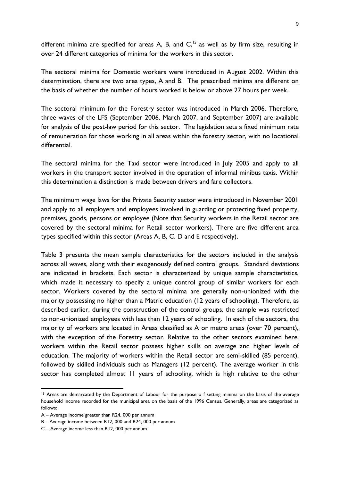different minima are specified for areas A, B, and  $C<sub>15</sub>$  as well as by firm size, resulting in over 24 different categories of minima for the workers in this sector.

The sectoral minima for Domestic workers were introduced in August 2002. Within this determination, there are two area types, A and B. The prescribed minima are different on the basis of whether the number of hours worked is below or above 27 hours per week.

The sectoral minimum for the Forestry sector was introduced in March 2006. Therefore, three waves of the LFS (September 2006, March 2007, and September 2007) are available for analysis of the post-law period for this sector. The legislation sets a fixed minimum rate of remuneration for those working in all areas within the forestry sector, with no locational differential.

The sectoral minima for the Taxi sector were introduced in July 2005 and apply to all workers in the transport sector involved in the operation of informal minibus taxis. Within this determination a distinction is made between drivers and fare collectors.

The minimum wage laws for the Private Security sector were introduced in November 2001 and apply to all employers and employees involved in guarding or protecting fixed property, premises, goods, persons or employee (Note that Security workers in the Retail sector are covered by the sectoral minima for Retail sector workers). There are five different area types specified within this sector (Areas A, B, C. D and E respectively).

[Table 3](#page-17-0) presents the mean sample characteristics for the sectors included in the analysis across all waves, along with their exogenously defined control groups. Standard deviations are indicated in brackets. Each sector is characterized by unique sample characteristics, which made it necessary to specify a unique control group of similar workers for each sector. Workers covered by the sectoral minima are generally non-unionized with the majority possessing no higher than a Matric education (12 years of schooling). Therefore, as described earlier, during the construction of the control groups, the sample was restricted to non-unionized employees with less than 12 years of schooling. In each of the sectors, the majority of workers are located in Areas classified as A or metro areas (over 70 percent), with the exception of the Forestry sector. Relative to the other sectors examined here, workers within the Retail sector possess higher skills on average and higher levels of education. The majority of workers within the Retail sector are semi-skilled (85 percent), followed by skilled individuals such as Managers (12 percent). The average worker in this sector has completed almost 11 years of schooling, which is high relative to the other

<sup>&</sup>lt;sup>15</sup> Areas are demarcated by the Department of Labour for the purpose o f setting minima on the basis of the average household income recorded for the municipal area on the basis of the 1996 Census. Generally, areas are categorized as follows:

A – Average income greater than R24, 000 per annum

B – Average income between R12, 000 and R24, 000 per annum

C – Average income less than R12, 000 per annum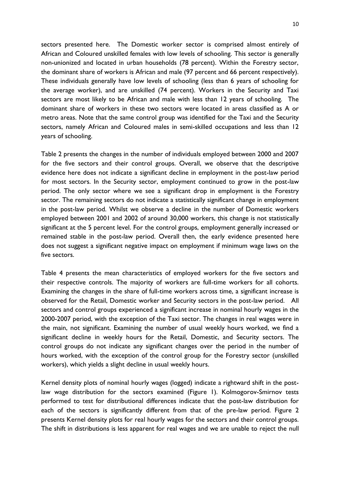sectors presented here. The Domestic worker sector is comprised almost entirely of African and Coloured unskilled females with low levels of schooling. This sector is generally non-unionized and located in urban households (78 percent). Within the Forestry sector, the dominant share of workers is African and male (97 percent and 66 percent respectively). These individuals generally have low levels of schooling (less than 6 years of schooling for the average worker), and are unskilled (74 percent). Workers in the Security and Taxi sectors are most likely to be African and male with less than 12 years of schooling. The dominant share of workers in these two sectors were located in areas classified as A or metro areas. Note that the same control group was identified for the Taxi and the Security sectors, namely African and Coloured males in semi-skilled occupations and less than 12 years of schooling.

Table 2 presents the changes in the number of individuals employed between 2000 and 2007 for the five sectors and their control groups. Overall, we observe that the descriptive evidence here does not indicate a significant decline in employment in the post-law period for most sectors. In the Security sector, employment continued to grow in the post-law period. The only sector where we see a significant drop in employment is the Forestry sector. The remaining sectors do not indicate a statistically significant change in employment in the post-law period. Whilst we observe a decline in the number of Domestic workers employed between 2001 and 2002 of around 30,000 workers, this change is not statistically significant at the 5 percent level. For the control groups, employment generally increased or remained stable in the post-law period. Overall then, the early evidence presented here does not suggest a significant negative impact on employment if minimum wage laws on the five sectors.

Table 4 presents the mean characteristics of employed workers for the five sectors and their respective controls. The majority of workers are full-time workers for all cohorts. Examining the changes in the share of full-time workers across time, a significant increase is observed for the Retail, Domestic worker and Security sectors in the post-law period. All sectors and control groups experienced a significant increase in nominal hourly wages in the 2000-2007 period, with the exception of the Taxi sector. The changes in real wages were in the main, not significant. Examining the number of usual weekly hours worked, we find a significant decline in weekly hours for the Retail, Domestic, and Security sectors. The control groups do not indicate any significant changes over the period in the number of hours worked, with the exception of the control group for the Forestry sector (unskilled workers), which yields a slight decline in usual weekly hours.

Kernel density plots of nominal hourly wages (logged) indicate a rightward shift in the postlaw wage distribution for the sectors examined (Figure 1). Kolmogorov-Smirnov tests performed to test for distributional differences indicate that the post-law distribution for each of the sectors is significantly different from that of the pre-law period. [Figure 2](#page-20-0) presents Kernel density plots for real hourly wages for the sectors and their control groups. The shift in distributions is less apparent for real wages and we are unable to reject the null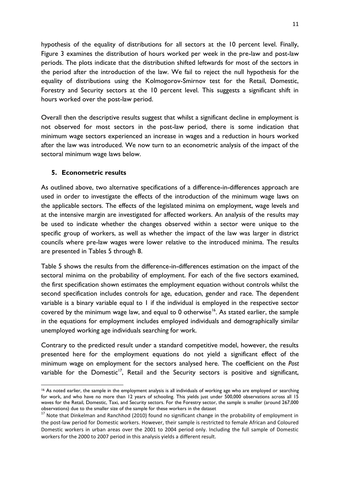hypothesis of the equality of distributions for all sectors at the 10 percent level. Finally, [Figure 3](#page-21-0) examines the distribution of hours worked per week in the pre-law and post-law periods. The plots indicate that the distribution shifted leftwards for most of the sectors in the period after the introduction of the law. We fail to reject the null hypothesis for the equality of distributions using the Kolmogorov-Smirnov test for the Retail, Domestic, Forestry and Security sectors at the 10 percent level. This suggests a significant shift in hours worked over the post-law period.

Overall then the descriptive results suggest that whilst a significant decline in employment is not observed for most sectors in the post-law period, there is some indication that minimum wage sectors experienced an increase in wages and a reduction in hours worked after the law was introduced. We now turn to an econometric analysis of the impact of the sectoral minimum wage laws below.

# **5. Econometric results**

As outlined above, two alternative specifications of a difference-in-differences approach are used in order to investigate the effects of the introduction of the minimum wage laws on the applicable sectors. The effects of the legislated minima on employment, wage levels and at the intensive margin are investigated for affected workers. An analysis of the results may be used to indicate whether the changes observed within a sector were unique to the specific group of workers, as well as whether the impact of the law was larger in district councils where pre-law wages were lower relative to the introduced minima. The results are presented in Tables 5 through 8.

[Table 5](#page-22-0) shows the results from the difference-in-differences estimation on the impact of the sectoral minima on the probability of employment. For each of the five sectors examined, the first specification shown estimates the employment equation without controls whilst the second specification includes controls for age, education, gender and race. The dependent variable is a binary variable equal to 1 if the individual is employed in the respective sector covered by the minimum wage law, and equal to  $0$  otherwise<sup>16</sup>. As stated earlier, the sample in the equations for employment includes employed individuals and demographically similar unemployed working age individuals searching for work.

Contrary to the predicted result under a standard competitive model, however, the results presented here for the employment equations do not yield a significant effect of the minimum wage on employment for the sectors analysed here. The coefficient on the *Post*  variable for the Domestic<sup>17</sup>, Retail and the Security sectors is positive and significant,

**<sup>.</sup>** <sup>16</sup> As noted earlier, the sample in the employment analysis is all individuals of working age who are employed or searching for work, and who have no more than 12 years of schooling. This yields just under 500,000 observations across all 15 waves for the Retail, Domestic, Taxi, and Security sectors. For the Forestry sector, the sample is smaller (around 267,000 observations) due to the smaller size of the sample for these workers in the dataset

<sup>&</sup>lt;sup>17</sup> Note that Dinkelman and Ranchhod (2010) found no significant change in the probability of employment in the post-law period for Domestic workers. However, their sample is restricted to female African and Coloured Domestic workers in urban areas over the 2001 to 2004 period only. Including the full sample of Domestic workers for the 2000 to 2007 period in this analysis yields a different result.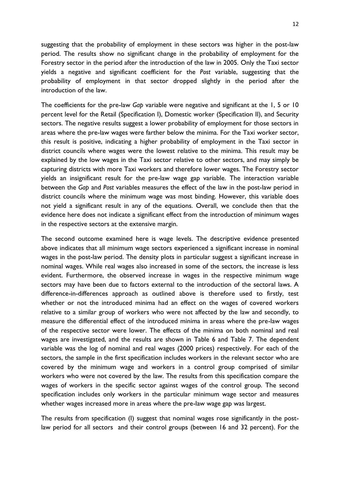suggesting that the probability of employment in these sectors was higher in the post-law period. The results show no significant change in the probability of employment for the Forestry sector in the period after the introduction of the law in 2005. Only the Taxi sector yields a negative and significant coefficient for the *Post* variable, suggesting that the probability of employment in that sector dropped slightly in the period after the introduction of the law.

The coefficients for the pre-law *Gap* variable were negative and significant at the 1, 5 or 10 percent level for the Retail (Specification I), Domestic worker (Specification II), and Security sectors. The negative results suggest a lower probability of employment for those sectors in areas where the pre-law wages were farther below the minima. For the Taxi worker sector, this result is positive, indicating a higher probability of employment in the Taxi sector in district councils where wages were the lowest relative to the minima. This result may be explained by the low wages in the Taxi sector relative to other sectors, and may simply be capturing districts with more Taxi workers and therefore lower wages. The Forestry sector yields an insignificant result for the pre-law wage gap variable. The interaction variable between the *Gap* and *Post* variables measures the effect of the law in the post-law period in district councils where the minimum wage was most binding. However, this variable does not yield a significant result in any of the equations. Overall, we conclude then that the evidence here does not indicate a significant effect from the introduction of minimum wages in the respective sectors at the extensive margin.

The second outcome examined here is wage levels. The descriptive evidence presented above indicates that all minimum wage sectors experienced a significant increase in nominal wages in the post-law period. The density plots in particular suggest a significant increase in nominal wages. While real wages also increased in some of the sectors, the increase is less evident. Furthermore, the observed increase in wages in the respective minimum wage sectors may have been due to factors external to the introduction of the sectoral laws. A difference-in-differences approach as outlined above is therefore used to firstly, test whether or not the introduced minima had an effect on the wages of covered workers relative to a similar group of workers who were not affected by the law and secondly, to measure the differential effect of the introduced minima in areas where the pre-law wages of the respective sector were lower. The effects of the minima on both nominal and real wages are investigated, and the results are shown in [Table 6](#page-23-0) and [Table 7.](#page-23-1) The dependent variable was the log of nominal and real wages (2000 prices) respectively. For each of the sectors, the sample in the first specification includes workers in the relevant sector who are covered by the minimum wage and workers in a control group comprised of similar workers who were not covered by the law. The results from this specification compare the wages of workers in the specific sector against wages of the control group. The second specification includes only workers in the particular minimum wage sector and measures whether wages increased more in areas where the pre-law wage gap was largest.

The results from specification (I) suggest that nominal wages rose significantly in the postlaw period for all sectors and their control groups (between 16 and 32 percent). For the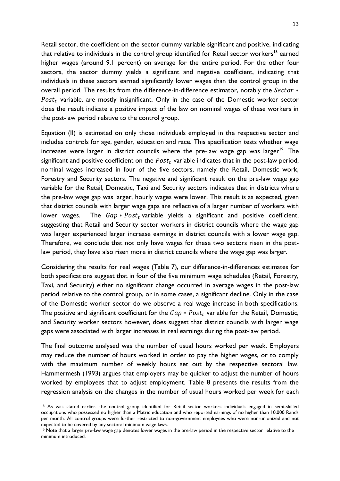Retail sector, the coefficient on the sector dummy variable significant and positive, indicating that relative to individuals in the control group identified for Retail sector workers<sup>18</sup> earned higher wages (around 9.1 percent) on average for the entire period. For the other four sectors, the sector dummy yields a significant and negative coefficient, indicating that individuals in these sectors earned significantly lower wages than the control group in the overall period. The results from the difference-in-difference estimator, notably the  $Sector *$  $Post<sub>t</sub>$  variable, are mostly insignificant. Only in the case of the Domestic worker sector does the result indicate a positive impact of the law on nominal wages of these workers in the post-law period relative to the control group.

Equation (II) is estimated on only those individuals employed in the respective sector and includes controls for age, gender, education and race. This specification tests whether wage increases were larger in district councils where the pre-law wage gap was larger<sup>19</sup>. The significant and positive coefficient on the  $Post<sub>t</sub>$  variable indicates that in the post-law period, nominal wages increased in four of the five sectors, namely the Retail, Domestic work, Forestry and Security sectors. The negative and significant result on the pre-law wage gap variable for the Retail, Domestic, Taxi and Security sectors indicates that in districts where the pre-law wage gap was larger, hourly wages were lower. This result is as expected, given that district councils with larger wage gaps are reflective of a larger number of workers with lower wages. The  $Gap * Post_t$  variable yields a significant and positive coefficient, suggesting that Retail and Security sector workers in district councils where the wage gap was larger experienced larger increase earnings in district councils with a lower wage gap. Therefore, we conclude that not only have wages for these two sectors risen in the postlaw period, they have also risen more in district councils where the wage gap was larger.

Considering the results for real wages [\(Table 7\)](#page-23-1), our difference-in-differences estimates for both specifications suggest that in four of the five minimum wage schedules (Retail, Forestry, Taxi, and Security) either no significant change occurred in average wages in the post-law period relative to the control group, or in some cases, a significant decline. Only in the case of the Domestic worker sector do we observe a real wage increase in both specifications. The positive and significant coefficient for the  $Gap * Post_t$  variable for the Retail, Domestic, and Security worker sectors however, does suggest that district councils with larger wage gaps were associated with larger increases in real earnings during the post-law period.

The final outcome analysed was the number of usual hours worked per week. Employers may reduce the number of hours worked in order to pay the higher wages, or to comply with the maximum number of weekly hours set out by the respective sectoral law. Hammermesh (1993) argues that employers may be quicker to adjust the number of hours worked by employees that to adjust employment. [Table 8](#page-24-0) presents the results from the regression analysis on the changes in the number of usual hours worked per week for each

1

<sup>&</sup>lt;sup>18</sup> As was stated earlier, the control group identified for Retail sector workers individuals engaged in semi-skilled occupations who possessed no higher than a Matric education and who reported earnings of no higher than 10,000 Rands per month. All control groups were further restricted to non-government employees who were non-unionized and not expected to be covered by any sectoral minimum wage laws.

<sup>19</sup> Note that a larger pre-law wage gap denotes lower wages in the pre-law period in the respective sector relative to the minimum introduced.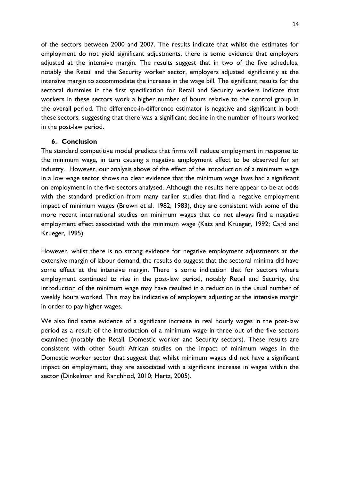of the sectors between 2000 and 2007. The results indicate that whilst the estimates for employment do not yield significant adjustments, there is some evidence that employers adjusted at the intensive margin. The results suggest that in two of the five schedules, notably the Retail and the Security worker sector, employers adjusted significantly at the intensive margin to accommodate the increase in the wage bill. The significant results for the sectoral dummies in the first specification for Retail and Security workers indicate that workers in these sectors work a higher number of hours relative to the control group in the overall period. The difference-in-difference estimator is negative and significant in both these sectors, suggesting that there was a significant decline in the number of hours worked in the post-law period.

# **6. Conclusion**

The standard competitive model predicts that firms will reduce employment in response to the minimum wage, in turn causing a negative employment effect to be observed for an industry. However, our analysis above of the effect of the introduction of a minimum wage in a low wage sector shows no clear evidence that the minimum wage laws had a significant on employment in the five sectors analysed. Although the results here appear to be at odds with the standard prediction from many earlier studies that find a negative employment impact of minimum wages (Brown et al. 1982, 1983), they are consistent with some of the more recent international studies on minimum wages that do not always find a negative employment effect associated with the minimum wage (Katz and Krueger, 1992; Card and Krueger, 1995).

However, whilst there is no strong evidence for negative employment adjustments at the extensive margin of labour demand, the results do suggest that the sectoral minima did have some effect at the intensive margin. There is some indication that for sectors where employment continued to rise in the post-law period, notably Retail and Security, the introduction of the minimum wage may have resulted in a reduction in the usual number of weekly hours worked. This may be indicative of employers adjusting at the intensive margin in order to pay higher wages.

We also find some evidence of a significant increase in real hourly wages in the post-law period as a result of the introduction of a minimum wage in three out of the five sectors examined (notably the Retail, Domestic worker and Security sectors). These results are consistent with other South African studies on the impact of minimum wages in the Domestic worker sector that suggest that whilst minimum wages did not have a significant impact on employment, they are associated with a significant increase in wages within the sector (Dinkelman and Ranchhod, 2010; Hertz, 2005).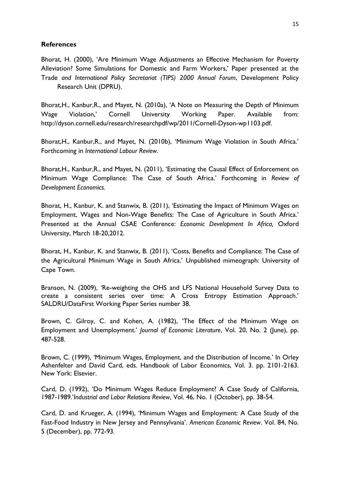# **References**

Bhorat, H. (2000), 'Are Minimum Wage Adjustments an Effective Mechanism for Poverty Alleviation? Some Simulations for Domestic and Farm Workers,' Paper presented at the Trade *and International Policy Secretariat (TIPS) 2000 Annual Forum*, Development Policy Research Unit (DPRU).

Bhorat,H., Kanbur,R., and Mayet, N. (2010a), 'A Note on Measuring the Depth of Minimum Wage Violation,' Cornell University Working Paper. Available from: http://dyson.cornell.edu/research/researchpdf/wp/2011/Cornell-Dyson-wp1103.pdf.

Bhorat,H., Kanbur,R., and Mayet, N. (2010b), 'Minimum Wage Violation in South Africa.' Forthcoming in *International Labour Review.*

Bhorat,H., Kanbur,R., and Mayet, N. (2011), 'Estimating the Causal Effect of Enforcement on Minimum Wage Compliance: The Case of South Africa.' Forthcoming in *Review of Development Economics.*

Bhorat, H., Kanbur, K. and Stanwix, B. (2011), 'Estimating the Impact of Minimum Wages on Employment, Wages and Non-Wage Benefits: The Case of Agriculture in South Africa.' Presented at the Annual CSAE Conference: *Economic Development In Africa,* Oxford University, March 18-20,2012.

Bhorat, H., Kanbur, K. and Stanwix, B. (2011), 'Costs, Benefits and Compliance: The Case of the Agricultural Minimum Wage in South Africa.' Unpublished mimeograph: University of Cape Town.

Branson, N. (2009), 'Re-weighting the OHS and LFS National Household Survey Data to create a consistent series over time: A Cross Entropy Estimation Approach.' SALDRU/DataFirst Working Paper Series number 38.

Brown, C. Gilroy, C. and Kohen, A. (1982), 'The Effect of the Minimum Wage on Employment and Unemployment.' *Journal of Economic Literature*, Vol. 20, No. 2 (June), pp. 487-528.

Brown, C. (1999), 'Minimum Wages, Employment, and the Distribution of Income.' In Orley Ashenfelter and David Card, eds. Handbook of Labor Economics, Vol. 3. pp. 2101-2163. New York: Elsevier.

Card, D. (1992), 'Do Minimum Wages Reduce Employment? A Case Study of California, 1987-1989.'*Industrial and Labor Relations Review*, Vol. 46, No. 1 (October), pp. 38-54.

Card, D. and Krueger, A. (1994), 'Minimum Wages and Employment: A Case Study of the Fast-Food Industry in New Jersey and Pennsylvania'. *American Economic Review*. Vol. 84, No. 5 (December), pp. 772-93.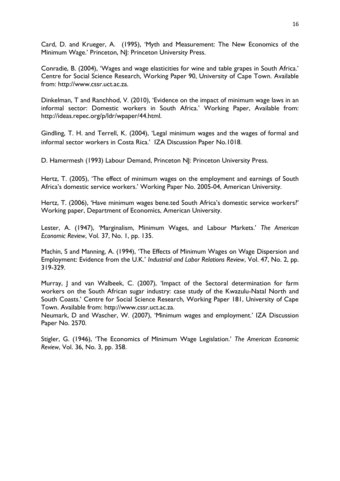Card, D. and Krueger, A. (1995), 'Myth and Measurement: The New Economics of the Minimum Wage.' Princeton, NJ: Princeton University Press.

Conradie, B. (2004), 'Wages and wage elasticities for wine and table grapes in South Africa.' Centre for Social Science Research, Working Paper 90, University of Cape Town. Available from: http://www.cssr.uct.ac.za.

Dinkelman, T and Ranchhod, V. (2010), 'Evidence on the impact of minimum wage laws in an informal sector: Domestic workers in South Africa.' Working Paper, Available from: http://ideas.repec.org/p/ldr/wpaper/44.html.

Gindling, T. H. and Terrell, K. (2004), 'Legal minimum wages and the wages of formal and informal sector workers in Costa Rica.' IZA Discussion Paper No.1018.

D. Hamermesh (1993) Labour Demand, Princeton NJ: Princeton University Press.

Hertz, T. (2005), 'The effect of minimum wages on the employment and earnings of South Africa's domestic service workers.' Working Paper No. 2005-04, American University.

Hertz, T. (2006), 'Have minimum wages bene.ted South Africa's domestic service workers?' Working paper, Department of Economics, American University.

Lester, A. (1947), 'Marginalism, Minimum Wages, and Labour Markets.' *The American Economic Review*, Vol. 37, No. 1, pp. 135.

Machin, S and Manning, A. (1994), 'The Effects of Minimum Wages on Wage Dispersion and Employment: Evidence from the U.K.' *Industrial and Labor Relations Review*, Vol. 47, No. 2, pp. 319-329.

Murray, J and van Walbeek, C. (2007), 'Impact of the Sectoral determination for farm workers on the South African sugar industry: case study of the Kwazulu-Natal North and South Coasts.' Centre for Social Science Research, Working Paper 181, University of Cape Town. Available from: http://www.cssr.uct.ac.za.

Neumark, D and Wascher, W. (2007), 'Minimum wages and employment.' IZA Discussion Paper No. 2570.

Stigler, G. (1946), 'The Economics of Minimum Wage Legislation.' *The American Economic Review*, Vol. 36, No. 3, pp. 358.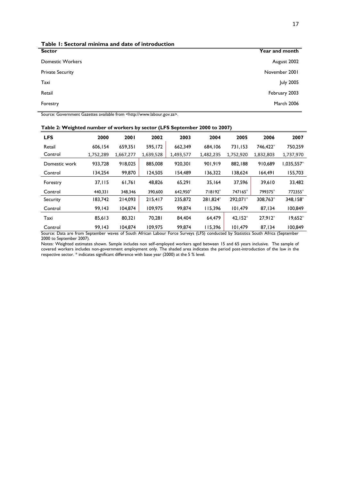| Table I: Sectoral minima and date of introduction |                   |
|---------------------------------------------------|-------------------|
| <b>Sector</b>                                     | Year and month    |
| <b>Domestic Workers</b>                           | August 2002       |
| <b>Private Security</b>                           | November 2001     |
| Taxi                                              | <b>July 2005</b>  |
| Retail                                            | February 2003     |
| Forestry                                          | <b>March 2006</b> |
|                                                   |                   |

Source: Government Gazettes available from <http://www.labour.gov.za>.

| <b>LFS</b>                                                                                                                        | 2000      | 2001      | 2002      | 2003      | 2004      | 2005      | 2006      | 2007       |
|-----------------------------------------------------------------------------------------------------------------------------------|-----------|-----------|-----------|-----------|-----------|-----------|-----------|------------|
| Retail                                                                                                                            | 606.154   | 659,351   | 595,172   | 662,349   | 684,106   | 731,153   | 746.422*  | 750,259    |
| Control                                                                                                                           | 1,752,289 | 1,667,277 | 1,639,528 | 1,493,577 | 1,482,235 | 1,752,920 | 1,832,803 | 1,737,970  |
| Domestic work                                                                                                                     | 933,728   | 918,025   | 885,008   | 920,301   | 901,919   | 882,188   | 910,689   | 1,035,557* |
| Control                                                                                                                           | 134,254   | 99,870    | 124,505   | 154,489   | 136,322   | 138,624   | 164,491   | 155,703    |
| Forestry                                                                                                                          | 37,115    | 61,761    | 48,826    | 65,291    | 35,164    | 37,596    | 39,610    | 33,482     |
| Control                                                                                                                           | 440,331   | 348,346   | 390,600   | 642,950*  | 718192*   | 747165*   | 799375*   | 772355*    |
| Security                                                                                                                          | 183,742   | 214,093   | 215,417   | 235,872   | 1824*     | 292,071*  | 308,763*  | 348,158*   |
| Control                                                                                                                           | 99,143    | 104,874   | 109,975   | 99,874    | 115,396   | 101,479   | 87,134    | 100,849    |
| Taxi                                                                                                                              | 85,613    | 80,321    | 70,281    | 84,404    | 64,479    | $42,152*$ | $27,912*$ | 19,652*    |
| Control                                                                                                                           | 99.143    | 104.874   | 109,975   | 99.874    | 115,396   | 101,479   | 87,134    | 100,849    |
| Source: Data are from September waves of South African Labour Force Surveys (LFS) conducted by Statistics South Africa (September |           |           |           |           |           |           |           |            |

**Table 2: Weighted number of workers by sector (LFS September 2000 to 2007)**

Source: Data are from September waves of South African Labour Force Surveys (LFS) conducted by Statistics South Africa (September 2000 to September 2007).

Notes: Weighted estimates shown. Sample includes non self-employed workers aged between 15 and 65 years inclusive. The sample of covered workers includes non-government employment only. The shaded area indicates the period post-introduction of the law in the respective sector. \* indicates significant difference with base year (2000) at the 5 % level.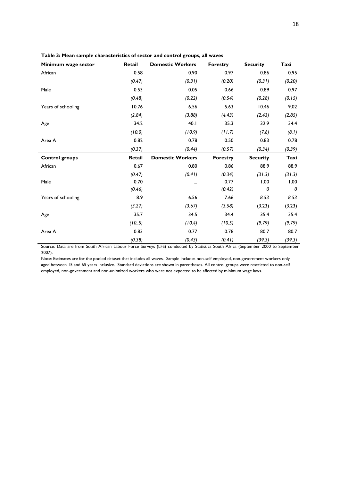<span id="page-17-0"></span>

| Minimum wage sector   | Retail | <b>Domestic Workers</b> | <b>Forestry</b> | <b>Security</b> | Taxi   |
|-----------------------|--------|-------------------------|-----------------|-----------------|--------|
| African               | 0.58   | 0.90                    | 0.97            | 0.86            | 0.95   |
|                       | (0.47) | (0.31)                  | (0.20)          | (0.31)          | (0.20) |
| Male                  | 0.53   | 0.05                    | 0.66            | 0.89            | 0.97   |
|                       | (0.48) | (0.22)                  | (0.54)          | (0.28)          | (0.15) |
| Years of schooling    | 10.76  | 6.56                    | 5.63            | 10.46           | 9.02   |
|                       | (2.84) | (3.88)                  | (4.43)          | (2.43)          | (2.85) |
| Age                   | 34.2   | 40.1                    | 35.3            | 32.9            | 34.4   |
|                       | (10.0) | (10.9)                  | (11.7)          | (7.6)           | (8.1)  |
| Area A                | 0.82   | 0.78                    | 0.50            | 0.83            | 0.78   |
|                       | (0.37) | (0.44)                  | (0.57)          | (0.34)          | (0.39) |
| <b>Control groups</b> | Retail | <b>Domestic Workers</b> | <b>Forestry</b> | <b>Security</b> | Taxi   |
| African               | 0.67   | 0.80                    | 0.86            | 88.9            | 88.9   |
|                       | (0.47) | (0.41)                  | (0.34)          | (31.3)          | (31.3) |
| Male                  | 0.70   |                         | 0.77            | 1.00            | 1.00   |
|                       | (0.46) |                         | (0.42)          | 0               | 0      |
| Years of schooling    | 8.9    | 6.56                    | 7.66            | 8.53            | 8.53   |
|                       | (3.27) | (3.67)                  | (3.58)          | (3.23)          | (3.23) |
| Age                   | 35.7   | 34.5                    | 34.4            | 35.4            | 35.4   |
|                       | (10.5) | (10.4)                  | (10.5)          | (9.79)          | (9.79) |
| Area A                | 0.83   | 0.77                    | 0.78            | 80.7            | 80.7   |
|                       | (0.38) | (0.43)                  | (0.41)          | (39.3)          | (39.3) |

Source: Data are from South African Labour Force Surveys (LFS) conducted by Statistics South Africa (September 2000 to September 2007).

Note: Estimates are for the pooled dataset that includes all waves. Sample includes non-self employed, non-government workers only aged between 15 and 65 years inclusive. Standard deviations are shown in parentheses. All control groups were restricted to non-self employed, non-government and non-unionized workers who were not expected to be affected by minimum wage laws.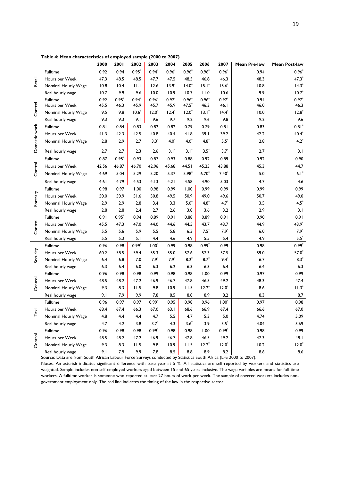**Table 4: Mean characteristics of employed sample (2000 to 2007)**

|               |                     | 2000  | 2001    | 2002    | 2003     | 2004     | 2005        | 2006      | 2007     | Mean Pre-law | Mean Post-law |
|---------------|---------------------|-------|---------|---------|----------|----------|-------------|-----------|----------|--------------|---------------|
|               | <b>Fulltime</b>     | 0.92  | 0.94    | $0.95*$ | $0.94*$  | $0.96*$  | $0.96*$     | $0.96*$   | $0.96*$  | 0.94         | $0.96*$       |
| Retail        | Hours per Week      | 47.3  | 48.5    | 48.5    | 47.7     | 47.5     | 48.5        | 46.8      | 46.3     | 48.3         | $47.3*$       |
|               | Nominal Hourly Wage | 10.8  | 10.4    | 11.1    | 12.6     | $13.9*$  | $14.0^*$    | $15.1*$   | $15.6*$  | 10.8         | $14.3*$       |
|               | Real hourly wage    | 10.7  | 9.9     | 9.6     | 10.0     | 10.9     | 10.7        | 11.0      | 10.6     | 9.9          | $10.7^*$      |
|               | Fulltime            | 0.92  | $0.95*$ | $0.94*$ | $0.96*$  | $0.97*$  | $0.96*$     | $0.96*$   | $0.97*$  | 0.94         | $0.97*$       |
| Control       | Hours per Week      | 45.5  | 46.3    | 45.9    | 45.7     | 45.9     | $47.5*$     | 46.3      | 46.I     | 46.0         | 46.3          |
|               | Nominal Hourly Wage | 9.5   | 9.8     | $10.6*$ | $12.0^*$ | $12.4^*$ | $12.0^*$    | $13.1^*$  | $14.4*$  | 10.0         | $12.8^*$      |
|               | Real hourly wage    | 9.3   | 9.3     | 9.1     | 9.6      | 9.7      | 9.2         | 9.6       | 9.8      | 9.2          | 9.6           |
|               | <b>Fulltime</b>     | 0.81  | 0.84    | 0.83    | 0.82     | 0.82     | 0.79        | 0.79      | 0.81     | 0.83         | $0.81*$       |
|               | Hours per Week      | 41.3  | 42.3    | 42.5    | 40.8     | 40.4     | 41.8        | 39.1      | 39.2     | 42.2         | $40.4*$       |
| Domestic work | Nominal Hourly Wage | 2.8   | 2.9     | 2.7     | $3.3*$   | $4.0*$   | $4.0*$      | $4.8*$    | $5.5^*$  | 2.8          | $4.2^*$       |
|               | Real hourly wage    | 2.7   | 2.7     | 2.3     | 2.6      | $3.1^*$  | $3.1^*$     | $3.5^{*}$ | $3.7*$   | 2.7          | 3.1           |
|               | Fulltime            | 0.87  | $0.95*$ | 0.93    | 0.87     | 0.93     | 0.88        | 0.92      | 0.89     | 0.92         | 0.90          |
| Control       | Hours per Week      | 42.56 | 46.87   | 46.70   | 42.96    | 45.68    | 44.51       | 45.25     | 43.88    | 45.3         | 44.7          |
|               | Nominal Hourly Wage | 4.69  | 5.04    | 5.29    | 5.20     | 5.37     | $5.98*$     | $6.70*$   | $7.40*$  | 5.0          | $6.1^*$       |
|               | Real hourly wage    | 4.61  | 4.79    | 4.53    | 4.13     | 4.21     | 4.58        | 4.90      | 5.03     | 4.7          | 4.6           |
|               | Fulltime            | 0.98  | 0.97    | 1.00    | 0.98     | 0.99     | 1.00        | 0.99      | 0.99     | 0.99         | 0.99          |
|               | Hours per Week      | 50.0  | 50.9    | 51.6    | 50.8     | 49.5     | 50.9        | 49.0      | 49.6     | 50.7         | 49.0          |
| Forestry      | Nominal Hourly Wage | 2.9   | 2.9     | 2.8     | 3.4      | 3.3      | $5.0^\circ$ | $4.8^*$   | $4.7*$   | 3.5          | $4.5^*$       |
|               | Real hourly wage    | 2.8   | 2.8     | 2.4     | 2.7      | 2.6      | 3.8         | 3.6       | 3.2      | 2.9          | 3.1           |
|               | Fulltime            | 0.91  | $0.95*$ | 0.94    | 0.89     | 0.91     | 0.88        | 0.89      | 0.91     | 0.90         | 0.91          |
| Control       | Hours per Week      | 45.5  | 47.3    | 47.0    | 44.0     | 44.6     | 44.5        | 43.7      | 43.7     | 44.9         | $43.9*$       |
|               | Nominal Hourly Wage | 5.5   | 5.6     | 5.9     | 5.5      | 5.8      | 6.3         | $7.5^*$   | $7.9*$   | 6.0          | $7.9*$        |
|               | Real hourly wage    | 5.5   | 5.3     | 5.1     | 4.4      | 4.6      | 4.9         | 5.5       | 5.4      | 4.9          | $5.5^\ast$    |
|               | Fulltime            | 0.96  | 0.98    | $0.99*$ | $1.00*$  | 0.99     | 0.98        | $0.99*$   | 0.99     | 0.98         | $0.99*$       |
| Security      | Hours per Week      | 60.2  | 58.5    | 59.4    | 55.3     | 55.0     | 57.6        | 57.3      | 57.5     | 59.0         | $57.0*$       |
|               | Nominal Hourly Wage | 6.4   | 6.8     | 7.0     | $7.9*$   | $7.9*$   | $8.2*$      | $8.7*$    | $9.4*$   | 6.7          | $8.3*$        |
|               | Real hourly wage    | 6.3   | 6.4     | 6.0     | 6.3      | 6.2      | 6.3         | 6.3       | 6.4      | 6.4          | 6.3           |
|               | Fulltime            | 0.96  | 0.98    | 0.98    | 0.99     | 0.98     | 0.98        | 1.00      | 0.99     | 0.97         | 0.99          |
| Control       | Hours per Week      | 48.5  | 48.2    | 47.2    | 46.9     | 46.7     | 47.8        | 46.5      | 49.2     | 48.3         | 47.4          |
|               | Nominal Hourly Wage | 9.3   | 8.3     | 11.5    | 9.8      | 10.9     | 11.5        | $12.2*$   | $12.0*$  | 8.6          | $11.3*$       |
|               | Real hourly wage    | 9.1   | 7.9     | 9.9     | 7.8      | 8.5      | 8.8         | 8.9       | 8.2      | 8.3          | 8.7           |
|               | Fulltime            | 0.96  | 0.97    | 0.97    | $0.99*$  | 0.95     | 0.98        | 0.96      | $1.00*$  | 0.97         | 0.98          |
| Taxi          | Hours per Week      | 68.4  | 67.4    | 66.3    | 67.0     | 63.1     | 68.6        | 66.9      | 67.4     | 66.6         | 67.0          |
|               | Nominal Hourly Wage | 4.8   | 4.4     | 4.4     | 4.7      | 5.5      | 4.7         | 5.3       | 5.0      | 4.74         | 5.09          |
|               | Real hourly wage    | 4.7   | 4.2     | 3.8     | $3.7*$   | 4.3      | $3.6*$      | 3.9       | $3.5*$   | 4.04         | 3.69          |
|               | Fulltime            | 0.96  | 0.98    | 0.98    | $0.99*$  | 0.98     | 0.98        | 1.00      | $0.99*$  | 0.98         | 0.99          |
| Control       | Hours per Week      | 48.5  | 48.2    | 47.2    | 46.9     | 46.7     | 47.8        | 46.5      | 49.2     | 47.3         | 48.I          |
|               | Nominal Hourly Wage | 9.3   | 8.3     | 11.5    | 9.8      | 10.9     | 11.5        | $12.2*$   | $12.0^*$ | 10.2         | $12.0^*$      |
|               | Real hourly wage    | 9.1   | 7.9     | 9.9     | 7.8      | 8.5      | 8.8         | 8.9       | 8.2      | 8.6          | 8.6           |

Source: Data are from South African Labour Force Surveys conducted by Statistics South Africa (LFS 2000 to 2007).

Notes: An asterisk indicates significant difference with base year at 5 %. All statistics are self-reported by workers and statistics are weighted. Sample includes non self-employed workers aged between 15 and 65 years inclusive. The wage variables are means for full-time workers. A fulltime worker is someone who reported at least 27 hours of work per week. The sample of covered workers includes nongovernment employment only. The red line indicates the timing of the law in the respective sector.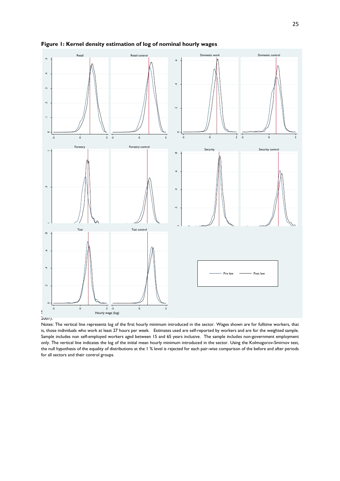

**Figure 1: Kernel density estimation of log of nominal hourly wages** 

 $2007$ ).

Notes: The vertical line represents log of the first hourly minimum introduced in the sector. Wages shown are for fulltime workers, that is, those individuals who work at least 27 hours per week. Estimates used are self-reported by workers and are for the weighted sample. Sample includes non self-employed workers aged between 15 and 65 years inclusive. The sample includes non-government employment only. The vertical line indicates the log of the initial mean hourly minimum introduced in the sector. Using the Kolmogorov-Smirnov test, the null hypothesis of the equality of distributions at the 1 % level is rejected for each pair-wise comparison of the before and after periods for all sectors and their control groups.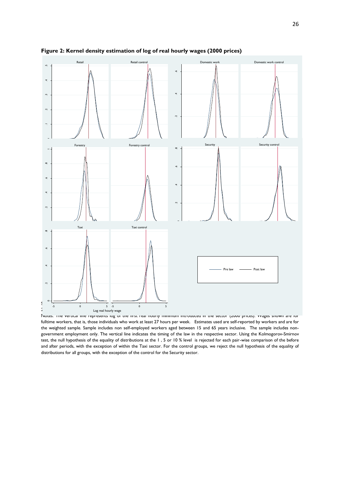

<span id="page-20-0"></span>**Figure 2: Kernel density estimation of log of real hourly wages (2000 prices)**

Notes: The vertical line represents log of the first real hourly minimum introduced in the sector (2000 prices). Wages shown are for fulltime workers, that is, those individuals who work at least 27 hours per week. Estimates used are self-reported by workers and are for the weighted sample. Sample includes non self-employed workers aged between 15 and 65 years inclusive. The sample includes nongovernment employment only. The vertical line indicates the timing of the law in the respective sector. Using the Kolmogorov-Smirnov test, the null hypothesis of the equality of distributions at the 1 , 5 or 10 % level is rejected for each pair-wise comparison of the before and after periods, with the exception of within the Taxi sector. For the control groups, we reject the null hypothesis of the equality of distributions for all groups, with the exception of the control for the Security sector.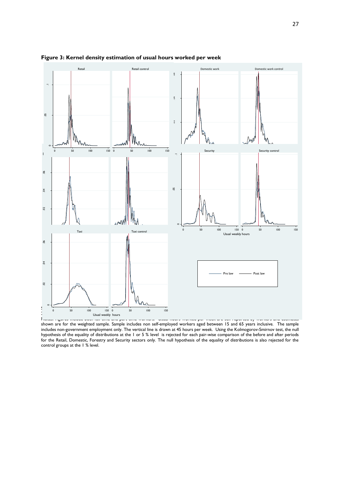

#### <span id="page-21-0"></span>**Figure 3: Kernel density estimation of usual hours worked per week**

shown are for the weighted sample. Sample includes non self-employed workers aged between 15 and 65 years inclusive. The sample includes non-government employment only. The vertical line is drawn at 45 hours per week. Using the Kolmogorov-Smirnov test, the null hypothesis of the equality of distributions at the 1 or 5 % level is rejected for each pair-wise comparison of the before and after periods for the Retail, Domestic, Forestry and Security sectors only. The null hypothesis of the equality of distributions is also rejected for the control groups at the 1 % level.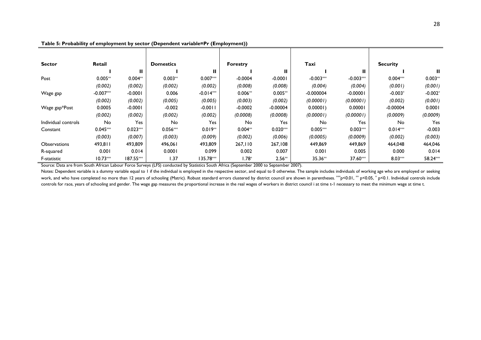| <b>Sector</b>       | Retail      |            | <b>Domestics</b> |             | <b>Forestry</b> |            | Taxi        |             | <b>Security</b> |           |
|---------------------|-------------|------------|------------------|-------------|-----------------|------------|-------------|-------------|-----------------|-----------|
|                     |             | Ш.         |                  | Ш           |                 | Ш          |             | Ш           |                 | Ш         |
| Post                | $0.005**$   | $0.004**$  | $0.003**$        | $0.007***$  | $-0.0004$       | $-0.0001$  | $-0.003***$ | $-0.003***$ | $0.004***$      | $0.003**$ |
|                     | (0.002)     | (0.002)    | (0.002)          | (0.002)     | (0.008)         | (0.008)    | (0.004)     | (0.004)     | (0.001)         | (0.001)   |
| Wage gap            | $-0.007***$ | $-0.0001$  | 0.006            | $-0.014***$ | $0.006**$       | $0.005**$  | $-0.000004$ | $-0.00001$  | $-0.003*$       | $-0.002*$ |
|                     | (0.002)     | (0.002)    | (0.005)          | (0.005)     | (0.003)         | (0.002)    | (0.00001)   | (0.00001)   | (0.002)         | (0.001)   |
| Wage gap*Post       | 0.0005      | $-0.0001$  | $-0.002$         | $-0.0011$   | $-0.0002$       | $-0.00004$ | 0.00001     | 0.00001     | $-0.00004$      | 0.0001    |
|                     | (0.002)     | (0.002)    | (0.002)          | (0.002)     | (0.0008)        | (0.0008)   | (0.00001)   | (0.00001)   | (0.0009)        | (0.0009)  |
| Individual controls | No          | Yes        | No               | Yes         | No              | Yes        | No          | Yes         | No              | Yes       |
| Constant            | $0.045***$  | $0.023***$ | $0.056***$       | $0.019**$   | $0.004**$       | $0.020***$ | $0.005***$  | $0.003***$  | $0.014***$      | $-0.003$  |
|                     | (0.003)     | (0.007)    | (0.003)          | (0.009)     | (0.002)         | (0.006)    | (0.0005)    | (0.0009)    | (0.002)         | (0.003)   |
| <b>Observations</b> | 493,811     | 493,809    | 496,061          | 493,809     | 267,110         | 267,108    | 449,869     | 449,869     | 464,048         | 464,046   |
| R-squared           | 0.001       | 0.014      | 0.0001           | 0.099       | 0.002           | 0.007      | 0.001       | 0.005       | 0.000           | 0.014     |
| F-statistic         | $10.73***$  | 187.55***  | 1.37             | 135.78***   | $1.78*$         | $2.56**$   | 35.36**     | 37.60***    | $8.03***$       | 58.24***  |

**Table 5: Probability of employment by sector (Dependent variable=Pr (Employment))**

Source: Data are from South African Labour Force Surveys (LFS) conducted by Statistics South Africa (September 2000 to September 2007).

<span id="page-22-0"></span>Notes: Dependent variable is a dummy variable equal to 1 if the individual is employed in the respective sector, and equal to 0 otherwise. The sample includes individuals of working age who are employed or seeking work, and who have completed no more than 12 years of schooling (Matric). Robust standard errors clustered by district council are shown in parentheses. \*\*p<0.01, \*\* p<0.05, \* p<0.01. Individual controls include controls for race, years of schooling and gender. The wage gap measures the proportional increase in the real wages of workers in district council i at time t-1 necessary to meet the minimum wage at time t.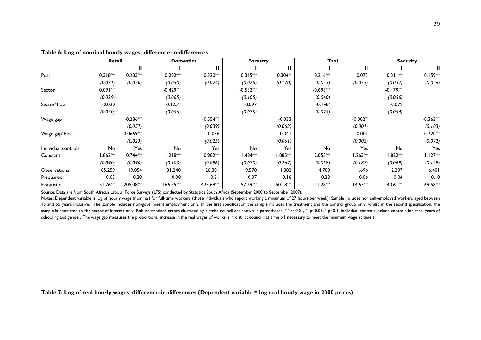|                     | Retail     |             | <b>Domestics</b> |             | <b>Forestry</b> |            | Taxi        |            | <b>Security</b> |             |
|---------------------|------------|-------------|------------------|-------------|-----------------|------------|-------------|------------|-----------------|-------------|
|                     |            | Ш           |                  | п           |                 | Ш          |             | Ш          |                 | Ш           |
| Post                | $0.318***$ | $0.203***$  | $0.282***$       | $0.320***$  | $0.315***$      | $0.304**$  | $0.216***$  | 0.073      | $0.311***$      | $0.159***$  |
|                     | (0.031)    | (0.020)     | (0.050)          | (0.024)     | (0.025)         | (0.120)    | (0.043)     | (0.055)    | (0.037)         | (0.046)     |
| Sector              | $0.091***$ |             | $-0.429***$      |             | $-0.532***$     |            | $-0.693***$ |            | $-0.179***$     |             |
|                     | (0.029)    |             | (0.065)          |             | (0.105)         |            | (0.040)     |            | (0.056)         |             |
| Sector*Post         | $-0.020$   |             | $0.125**$        |             | 0.097           |            | $-0.148*$   |            | $-0.079$        |             |
|                     | (0.030)    |             | (0.056)          |             | (0.075)         |            | (0.075)     |            | (0.054)         |             |
| Wage gap            |            | $-0.286***$ |                  | $-0.554***$ |                 | $-0.033$   |             | $-0.002**$ |                 | $-0.362***$ |
|                     |            | (0.057)     |                  | (0.039)     |                 | (0.063)    |             | (0.001)    |                 | (0.103)     |
| Wage gap*Post       |            | $0.0669***$ |                  | 0.036       |                 | 0.041      |             | 0.001      |                 | $0.220***$  |
|                     |            | (0.023)     |                  | (0.025)     |                 | (0.061)    |             | (0.002)    |                 | (0.072)     |
| Individual controls | No         | Yes         | No               | Yes         | No              | Yes        | No          | Yes        | No              | Yes         |
| Constant            | $1.862***$ | $0.744***$  | $1.218***$       | $0.902***$  | 1.484 ***       | $1.085***$ | $2.053***$  | $1.263***$ | $1.822***$      | $1.127***$  |
|                     | (0.090)    | (0.090)     | (0.103)          | (0.096)     | (0.070)         | (0.267)    | (0.058)     | (0.187)    | (0.069)         | (0.129)     |
| Observations        | 65,259     | 19,054      | 31,240           | 26,301      | 19,578          | 1,882      | 4,700       | 1,696      | 12,207          | 6,401       |
| R-squared           | 0.03       | 0.38        | 0.08             | 0.31        | 0.07            | 0.16       | 0.23        | 0.06       | 0.04            | 0.18        |
| F-statistic         | 51.76***   | 205.08***   | 166.55***        | 425.69***   | 57.59***        | $50.18***$ | $141.28***$ | $14.67***$ | 40.61***        | 69.58***    |

#### **Table 6: Log of nominal hourly wages, difference-in-differences**

<span id="page-23-0"></span>Source: Data are from South African Labour Force Surveys (LFS) conducted by Statistics South Africa (September 2000 to September 2007).

Notes: Dependent variable is log of hourly wage (nominal) for full-time workers (those individuals who report working a minimum of 27 hours per week). Sample includes non self-employed workers aged between 15 and 65 years inclusive. The sample includes non-government employment only. In the first specification the sample includes the treatment and the control group only, whilst in the second specification, the sample is restricted to the sector of interest only. Robust standard errors clustered by district council are shown in parentheses. \*\*\* p<0.01, \*\* p<0.05, \* p<0.1. Individual controls include controls for race, years of schooling and gender. The wage gap measures the proportional increase in the real wages of workers in district council i at time t-1 necessary to meet the minimum wage at time t.

<span id="page-23-1"></span>**Table 7: Log of real hourly wages, difference-in-differences (Dependent variable = log real hourly wage in 2000 prices)**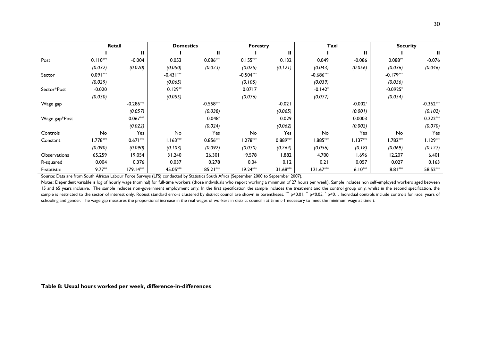|                     | Retail     |             | <b>Domestics</b> |             | <b>Forestry</b> |            | Taxi        |            | <b>Security</b> |             |
|---------------------|------------|-------------|------------------|-------------|-----------------|------------|-------------|------------|-----------------|-------------|
|                     |            | Ш           |                  | Ш           |                 | Ш          |             | Ш          |                 | ш           |
| Post                | $0.110***$ | $-0.004$    | 0.053            | $0.086***$  | $0.155***$      | 0.132      | 0.049       | $-0.086$   | $0.088**$       | $-0.076$    |
|                     | (0.032)    | (0.020)     | (0.050)          | (0.023)     | (0.025)         | (0.121)    | (0.043)     | (0.056)    | (0.036)         | (0.046)     |
| Sector              | $0.091***$ |             | $-0.431***$      |             | $-0.504***$     |            | $-0.686***$ |            | $-0.179***$     |             |
|                     | (0.029)    |             | (0.065)          |             | (0.105)         |            | (0.039)     |            | (0.056)         |             |
| Sector*Post         | $-0.020$   |             | $0.129**$        |             | 0.0717          |            | $-0.142*$   |            | $-0.0925*$      |             |
|                     | (0.030)    |             | (0.055)          |             | (0.076)         |            | (0.077)     |            | (0.054)         |             |
| Wage gap            |            | $-0.286***$ |                  | $-0.558***$ |                 | $-0.021$   |             | $-0.002*$  |                 | $-0.362***$ |
|                     |            | (0.057)     |                  | (0.038)     |                 | (0.065)    |             | (0.001)    |                 | (0.102)     |
| Wage gap*Post       |            | $0.067***$  |                  | $0.048*$    |                 | 0.029      |             | 0.0003     |                 | $0.222***$  |
|                     |            | (0.022)     |                  | (0.024)     |                 | (0.062)    |             | (0.002)    |                 | (0.070)     |
| Controls            | No         | Yes         | No               | Yes         | No              | Yes        | No          | Yes        | No              | Yes         |
| Constant            | $1.778***$ | $0.671***$  | $1.163***$       | $0.856***$  | $1.278***$      | $0.889***$ | $1.885***$  | $1.137***$ | $1.782***$      | $1.129***$  |
|                     | (0.090)    | (0.090)     | (0.103)          | (0.092)     | (0.070)         | (0.264)    | (0.056)     | (0.18)     | (0.069)         | (0.127)     |
| <b>Observations</b> | 65,259     | 19,054      | 31,240           | 26,301      | 19,578          | 882. ا     | 4,700       | 1,696      | 12,207          | 6,401       |
| R-squared           | 0.004      | 0.376       | 0.037            | 0.278       | 0.04            | 0.12       | 0.21        | 0.057      | 0.027           | 0.163       |
| F-statistic         | $9.77**$   | 179.14***   | 45.05***         | $185.21***$ | $19.24***$      | $31.68***$ | 121.67**    | $6.10***$  | $8.81***$       | 58.52***    |

Source: Data are from South African Labour Force Surveys (LFS) conducted by Statistics South Africa (September 2000 to September 2007).

Notes: Dependent variable is log of hourly wage (nominal) for full-time workers (those individuals who report working a minimum of 27 hours per week). Sample includes non self-employed workers aged between 15 and 65 years inclusive. The sample includes non-government employment only. In the first specification the sample includes the treatment and the control group only, whilst in the second specification, the sample is restricted to the sector of interest only. Robust standard errors clustered by district council are shown in parentheses. \*\*\* p<0.01, \*\* p<0.05, \* p<0.1. Individual controls include controls for race, years of schooling and gender. The wage gap measures the proportional increase in the real wages of workers in district council i at time t-1 necessary to meet the minimum wage at time t.

<span id="page-24-0"></span>**Table 8: Usual hours worked per week, difference-in-differences**